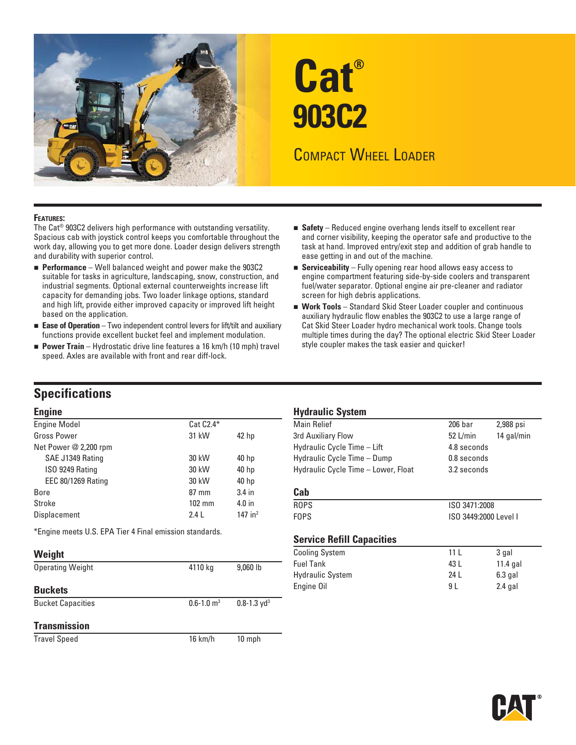

# **Cat® 903C2**

# COMPACT WHEEL LOADER

#### **FEATURES:**

The Cat® 903C2 delivers high performance with outstanding versatility. Spacious cab with joystick control keeps you comfortable throughout the work day, allowing you to get more done. Loader design delivers strength and durability with superior control.

- **Performance** Well balanced weight and power make the 903C2 suitable for tasks in agriculture, landscaping, snow, construction, and industrial segments. Optional external counterweights increase lift capacity for demanding jobs. Two loader linkage options, standard and high lift, provide either improved capacity or improved lift height based on the application.
- Ease of Operation Two independent control levers for lift/tilt and auxiliary functions provide excellent bucket feel and implement modulation.
- **Power Train** Hydrostatic drive line features a 16 km/h (10 mph) travel speed. Axles are available with front and rear diff-lock.
- **Safety** Reduced engine overhang lends itself to excellent rear and corner visibility, keeping the operator safe and productive to the task at hand. Improved entry/exit step and addition of grab handle to ease getting in and out of the machine.
- **Serviceability** Fully opening rear hood allows easy access to engine compartment featuring side-by-side coolers and transparent fuel/water separator. Optional engine air pre-cleaner and radiator screen for high debris applications.
- **Work Tools** Standard Skid Steer Loader coupler and continuous auxiliary hydraulic flow enables the 903C2 to use a large range of Cat Skid Steer Loader hydro mechanical work tools. Change tools multiple times during the day? The optional electric Skid Steer Loader style coupler makes the task easier and quicker!

### **Specifications**

| <b>Engine Model</b>       | $Cat C2.4*$      |                  | <b>Main Relief</b>                  | $206$ bar             | 2,988 psi  |
|---------------------------|------------------|------------------|-------------------------------------|-----------------------|------------|
| <b>Gross Power</b>        | 31 kW            | 42 hp            | 3rd Auxiliary Flow                  | $52$ L/min            | 14 gal/min |
| Net Power @ 2,200 rpm     |                  |                  | Hydraulic Cycle Time - Lift         | 4.8 seconds           |            |
| SAE J1349 Rating          | 30 kW            | 40 <sub>hp</sub> | Hydraulic Cycle Time - Dump         | 0.8 seconds           |            |
| ISO 9249 Rating           | 30 kW            | 40 <sub>hp</sub> | Hydraulic Cycle Time - Lower, Float | 3.2 seconds           |            |
| <b>EEC 80/1269 Rating</b> | 30 kW            | 40 <sub>hp</sub> |                                     |                       |            |
| <b>Bore</b>               | $87 \text{ mm}$  | $3.4$ in         | Cab                                 |                       |            |
| Stroke                    | $102 \text{ mm}$ | $4.0$ in         | <b>ROPS</b>                         | ISO 3471:2008         |            |
| Displacement              | 2.4L             | 147 in $2$       | <b>FOPS</b>                         | ISO 3449:2000 Level I |            |
|                           |                  |                  |                                     |                       |            |

| Weight                   |                            |                             | <b>Cooling System</b>                       | 11 <sub>L</sub> | 3 gal                |
|--------------------------|----------------------------|-----------------------------|---------------------------------------------|-----------------|----------------------|
| <b>Operating Weight</b>  | 4110 kg                    | $9,060$ lb                  | <b>Fuel Tank</b><br><b>Hydraulic System</b> | 43 L<br>24 L    | 11.4 ga<br>$6.3$ gal |
| <b>Buckets</b>           |                            |                             | Engine Oil                                  | 9 L             | $2.4$ gal            |
| <b>Bucket Capacities</b> | $0.6 - 1.0$ m <sup>3</sup> | $0.8 - 1.3$ yd <sup>3</sup> |                                             |                 |                      |
| <b>Transmission</b>      |                            |                             |                                             |                 |                      |

Travel Speed 16 km/h 10 mph

### **Engine Hydraulic System**

| ruñme                                                   |                  |                  | <b>Ilyuraulic Jystelli</b>           |                 |            |  |
|---------------------------------------------------------|------------------|------------------|--------------------------------------|-----------------|------------|--|
| <b>Engine Model</b>                                     | $Cat C2.4*$      |                  | <b>Main Relief</b>                   | $206$ bar       | 2,988 psi  |  |
| Gross Power                                             | 31 kW            | 42 <sub>hp</sub> | 3rd Auxiliary Flow                   | $52$ L/min      | 14 gal/min |  |
| Net Power @ 2,200 rpm                                   |                  |                  | Hydraulic Cycle Time - Lift          | 4.8 seconds     |            |  |
| SAE J1349 Rating                                        | 30 kW            | 40 <sub>hp</sub> | Hydraulic Cycle Time - Dump          | 0.8 seconds     |            |  |
| ISO 9249 Rating                                         | 30 kW            | 40 hp            | Hydraulic Cycle Time - Lower, Float  | 3.2 seconds     |            |  |
| <b>EEC 80/1269 Rating</b>                               | 30 kW            | 40 <sub>hp</sub> |                                      |                 |            |  |
| Bore                                                    | $87 \text{ mm}$  | $3.4$ in         | Cab                                  |                 |            |  |
| <b>Stroke</b>                                           | $102 \text{ mm}$ | $4.0$ in         | <b>ROPS</b><br>ISO 3471:2008         |                 |            |  |
| <b>Displacement</b>                                     | 2.4L             | 147 in $2$       | <b>FOPS</b><br>ISO 3449:2000 Level I |                 |            |  |
| *Engine meets U.S. EPA Tier 4 Final emission standards. |                  |                  |                                      |                 |            |  |
|                                                         |                  |                  | <b>Service Refill Capacities</b>     |                 |            |  |
| Weight                                                  |                  |                  | <b>Cooling System</b>                | 11 <sub>L</sub> | 3 gal      |  |
| <b>Operating Weight</b>                                 | 4110 kg          | 9,060 lb         | <b>Fuel Tank</b>                     | 43 L            | $11.4$ gal |  |
|                                                         |                  |                  | <b>Hydraulic System</b>              | 24 L            | $6.3$ gal  |  |
| .                                                       |                  |                  | <b>Engine Oil</b>                    | $Q \mid$        | $24$ nal   |  |

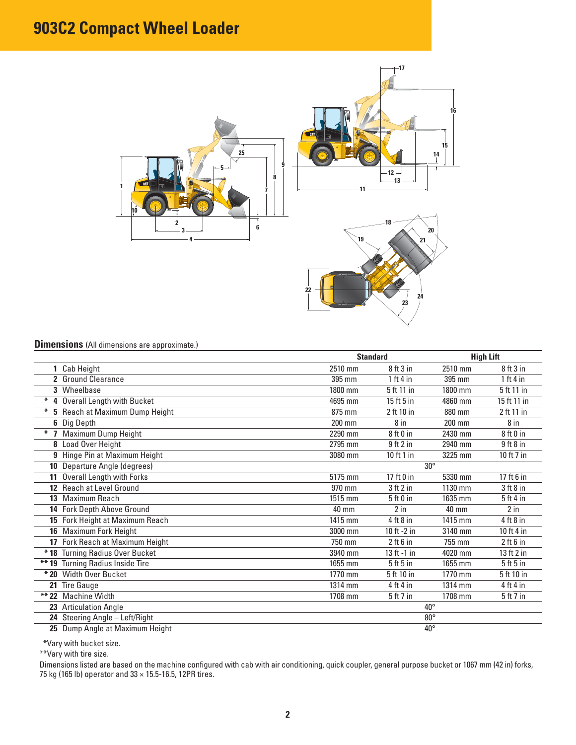# **903C2 Compact Wheel Loader**



### **Dimensions** (All dimensions are approximate.)

|                                  |              | <b>Standard</b> |                 | <b>High Lift</b> |  |
|----------------------------------|--------------|-----------------|-----------------|------------------|--|
| 1 Cab Height                     | 2510 mm      | $8$ ft $3$ in   | 2510 mm         | $8$ ft $3$ in    |  |
| 2 Ground Clearance               | 395 mm       | 1 ft 4 in       | 395 mm          | 1 ft 4 in        |  |
| 3 Wheelbase                      | 1800 mm      | 5 ft 11 in      | 1800 mm         | 5 ft 11 in       |  |
| * 4 Overall Length with Bucket   | 4695 mm      | $15$ ft $5$ in  | 4860 mm         | 15 ft 11 in      |  |
| * 5 Reach at Maximum Dump Height | 875 mm       | 2 ft 10 in      | 880 mm          | 2 ft 11 in       |  |
| 6 Dig Depth                      | 200 mm       | 8 in            | $200$ mm        | 8 in             |  |
| * 7 Maximum Dump Height          | 2290 mm      | 8ft0in          | 2430 mm         | 8ft0in           |  |
| <b>8</b> Load Over Height        | 2795 mm      | $9$ ft $2$ in   | 2940 mm         | $9$ ft $8$ in    |  |
| 9 Hinge Pin at Maximum Height    | 3080 mm      | 10 ft 1 in      | 3225 mm         | 10 ft 7 in       |  |
| 10 Departure Angle (degrees)     | $30^\circ$   |                 |                 |                  |  |
| 11 Overall Length with Forks     | 5175 mm      | 17 ft $0$ in    | 5330 mm         | 17 ft 6 in       |  |
| 12 Reach at Level Ground         | 970 mm       | 3 ft 2 in       | 1130 mm         | $3$ ft $8$ in    |  |
| 13 Maximum Reach                 | 1515 mm      | 5ft0in          | 1635 mm         | 5ft4in           |  |
| 14 Fork Depth Above Ground       | 40 mm        | $2$ in          | $40 \text{ mm}$ | $2$ in           |  |
| 15 Fork Height at Maximum Reach  | 1415 mm      | $4$ ft $8$ in   | 1415 mm         | $4$ ft $8$ in    |  |
| 16 Maximum Fork Height           | 3000 mm      | 10 ft $-2$ in   | 3140 mm         | 10 ft 4 in       |  |
| 17 Fork Reach at Maximum Height  | 750 mm       | $2$ ft 6 in     | 755 mm          | 2 ft 6 in        |  |
| * 18 Turning Radius Over Bucket  | 3940 mm      | 13 ft -1 in     | 4020 mm         | 13 ft 2 in       |  |
| ** 19 Turning Radius Inside Tire | 1655 mm      | $5$ ft $5$ in   | 1655 mm         | $5$ ft $5$ in    |  |
| * 20 Width Over Bucket           | 1770 mm      | 5 ft 10 in      | 1770 mm         | 5 ft 10 in       |  |
| 21 Tire Gauge                    | 1314 mm      | 4 ft 4 in       | 1314 mm         | 4 ft 4 in        |  |
| ** 22 Machine Width              | 1708 mm      | $5$ ft 7 in     | 1708 mm         | 5 ft 7 in        |  |
| 23 Articulation Angle            | $40^{\circ}$ |                 |                 |                  |  |
| 24 Steering Angle - Left/Right   | $80^\circ$   |                 |                 |                  |  |
| 25 Dump Angle at Maximum Height  | $40^{\circ}$ |                 |                 |                  |  |

\*Vary with bucket size.

\*\*Vary with tire size.

Dimensions listed are based on the machine configured with cab with air conditioning, quick coupler, general purpose bucket or 1067 mm (42 in) forks, 75 kg (165 lb) operator and  $33 \times 15.5$ -16.5, 12PR tires.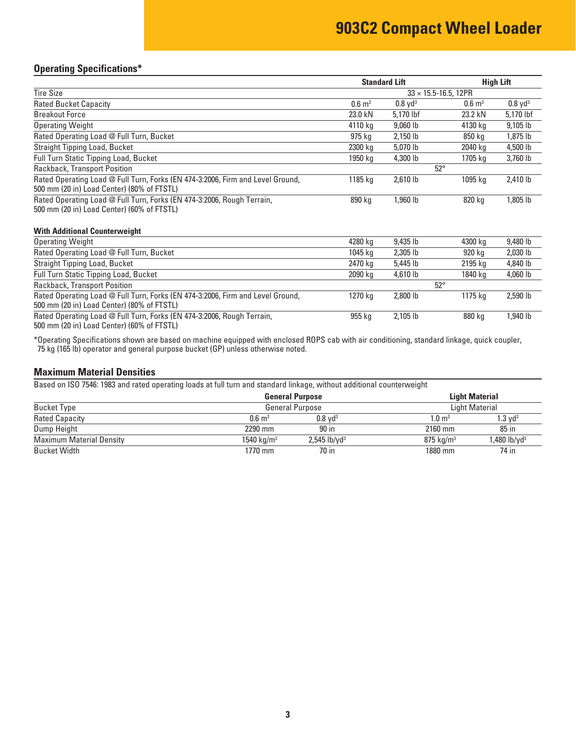## **903C2 Compact Wheel Loader**

### **Operating Specifications\***

|                                                                                                                              |                       | <b>Standard Lift</b>  | <b>High Lift</b>               |                    |
|------------------------------------------------------------------------------------------------------------------------------|-----------------------|-----------------------|--------------------------------|--------------------|
| <b>Tire Size</b>                                                                                                             |                       |                       | $33 \times 15.5 - 16.5$ , 12PR |                    |
| <b>Rated Bucket Capacity</b>                                                                                                 | $0.6 \; \mathrm{m}^3$ | $0.8$ yd <sup>3</sup> | $0.6 \; \mathrm{m}^3$          | $0.8 \text{ yd}^3$ |
| <b>Breakout Force</b>                                                                                                        | 23.0 kN               | 5,170 lbf             | 23.2 kN                        | 5,170 lbf          |
| <b>Operating Weight</b>                                                                                                      | 4110 kg               | 9,060 lb              | 4130 kg                        | 9,105 lb           |
| Rated Operating Load @ Full Turn, Bucket                                                                                     | 975 kg                | 2,150 lb              | 850 kg                         | 1,875 lb           |
| Straight Tipping Load, Bucket                                                                                                | 2300 kg               | 5,070 lb              | 2040 kg                        | 4,500 lb           |
| Full Turn Static Tipping Load, Bucket                                                                                        | 1950 kg               | 4,300 lb              | 1705 kg                        | 3,760 lb           |
| Rackback, Transport Position                                                                                                 |                       |                       | $52^\circ$                     |                    |
| Rated Operating Load @ Full Turn, Forks (EN 474-3:2006, Firm and Level Ground,<br>500 mm (20 in) Load Center) (80% of FTSTL) | 1185 kg               | 2,610 lb              | 1095 kg                        | 2,410 lb           |
| Rated Operating Load @ Full Turn, Forks (EN 474-3:2006, Rough Terrain,<br>500 mm (20 in) Load Center) (60% of FTSTL)         | 890 kg                | 1,960 lb              | 820 kg                         | 1,805 lb           |
| <b>With Additional Counterweight</b>                                                                                         |                       |                       |                                |                    |
| <b>Operating Weight</b>                                                                                                      | 4280 kg               | 9,435 lb              | 4300 kg                        | 9,480 lb           |
| Rated Operating Load @ Full Turn, Bucket                                                                                     | 1045 kg               | 2,305 lb              | 920 kg                         | 2,030 lb           |
| <b>Straight Tipping Load, Bucket</b>                                                                                         | 2470 kg               | 5,445 lb              | 2195 kg                        | 4,840 lb           |
| <b>Full Turn Static Tipping Load, Bucket</b>                                                                                 | 2090 kg               | 4,610 lb              | 1840 kg                        | 4,060 lb           |
| Rackback, Transport Position                                                                                                 |                       |                       | $52^\circ$                     |                    |
| Rated Operating Load @ Full Turn, Forks (EN 474-3:2006, Firm and Level Ground,<br>500 mm (20 in) Load Center) (80% of FTSTL) | 1270 kg               | 2,800 lb              | 1175 kg                        | 2,590 lb           |
| Rated Operating Load @ Full Turn, Forks (EN 474-3:2006, Rough Terrain,<br>500 mm (20 in) Load Center) (60% of FTSTL)         | 955 kg                | 2,105 lb              | 880 kg                         | 1,940 lb           |

\*Operating Specifications shown are based on machine equipped with enclosed ROPS cab with air conditioning, standard linkage, quick coupler, 75 kg (165 lb) operator and general purpose bucket (GP) unless otherwise noted.

### **Maximum Material Densities**

Based on ISO 7546: 1983 and rated operating loads at full turn and standard linkage, without additional counterweight

|                                 |                        | <b>General Purpose</b>     | <b>Light Material</b>   |                          |  |
|---------------------------------|------------------------|----------------------------|-------------------------|--------------------------|--|
| <b>Bucket Type</b>              |                        | <b>General Purpose</b>     | <b>Light Material</b>   |                          |  |
| <b>Rated Capacity</b>           | $0.6 \; \mathrm{m}^3$  | $0.8$ vd <sup>3</sup>      | $1.0~\mathrm{m}^3$      | $1.3 \;\rm{vd^3}$        |  |
| Dump Height                     | 2290 mm                | 90 in                      | 2160 mm                 | $85$ in                  |  |
| <b>Maximum Material Density</b> | 1540 kg/m <sup>3</sup> | $2,545$ lb/yd <sup>3</sup> | $875$ ka/m <sup>3</sup> | 1,480 lb/yd <sup>3</sup> |  |
| <b>Bucket Width</b>             | 1770 mm                | 70 in                      | 1880 mm                 | 74 in                    |  |